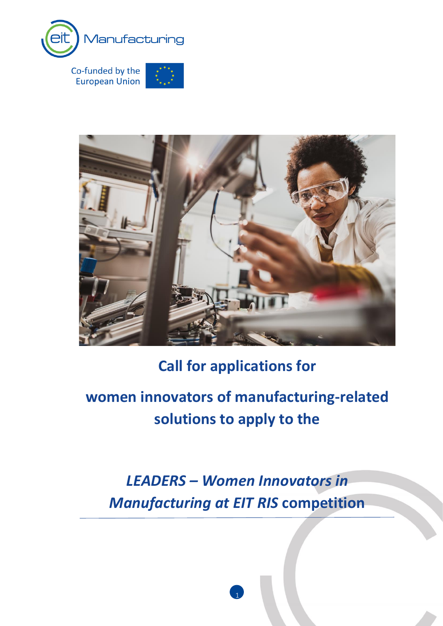

**European Union** 



# **Call for applications for**

# **women innovators of manufacturing-related solutions to apply to the**

*LEADERS – Women Innovators in Manufacturing at EIT RIS* **competition**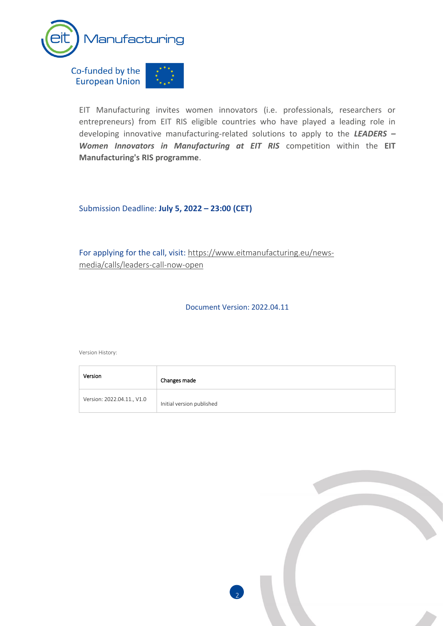

EIT Manufacturing invites women innovators (i.e. professionals, researchers or entrepreneurs) from EIT RIS eligible countries who have played a leading role in developing innovative manufacturing-related solutions to apply to the *LEADERS – Women Innovators in Manufacturing at EIT RIS* competition within the **EIT Manufacturing's RIS programme**.

Submission Deadline: **July 5, 2022 – 23:00 (CET)**

For applying for the call, visit: [https://www.eitmanufacturing.eu/news](https://www.eitmanufacturing.eu/news-media/calls/leaders-call-now-open)[media/calls/leaders-call-now-open](https://www.eitmanufacturing.eu/news-media/calls/leaders-call-now-open)

Document Version: 2022.04.11

Version History:

| Version                    | Changes made              |
|----------------------------|---------------------------|
| Version: 2022.04.11., V1.0 | Initial version published |

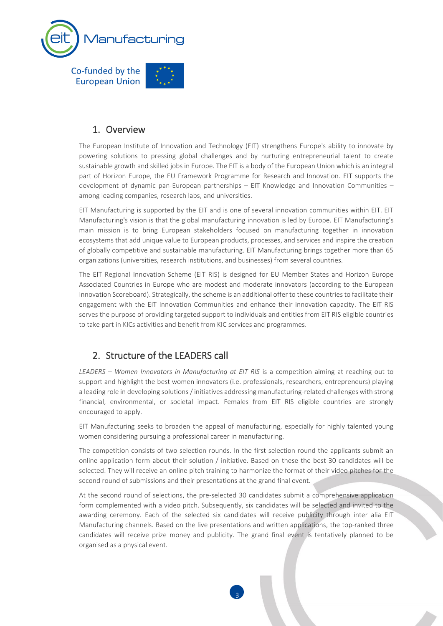

### 1. Overview

The European Institute of Innovation and Technology (EIT) strengthens Europe's ability to innovate by powering solutions to pressing global challenges and by nurturing entrepreneurial talent to create sustainable growth and skilled jobs in Europe. The EIT is a body of the European Union which is an integral part of Horizon Europe, the EU Framework Programme for Research and Innovation. EIT supports the development of dynamic pan-European partnerships – EIT Knowledge and Innovation Communities – among leading companies, research labs, and universities.

EIT Manufacturing is supported by the EIT and is one of several innovation communities within EIT. EIT Manufacturing's vision is that the global manufacturing innovation is led by Europe. EIT Manufacturing's main mission is to bring European stakeholders focused on manufacturing together in innovation ecosystems that add unique value to European products, processes, and services and inspire the creation of globally competitive and sustainable manufacturing. EIT Manufacturing brings together more than 65 organizations (universities, research institutions, and businesses) from several countries.

The EIT Regional Innovation Scheme (EIT RIS) is designed for EU Member States and Horizon Europe Associated Countries in Europe who are modest and moderate innovators (according to the European Innovation Scoreboard). Strategically, the scheme is an additional offer to these countries to facilitate their engagement with the EIT Innovation Communities and enhance their innovation capacity. The EIT RIS serves the purpose of providing targeted support to individuals and entities from EIT RIS eligible countries to take part in KICs activities and benefit from KIC services and programmes.

### 2. Structure of the LEADERS call

*LEADERS – Women Innovators in Manufacturing at EIT RIS* is a competition aiming at reaching out to support and highlight the best women innovators (i.e. professionals, researchers, entrepreneurs) playing a leading role in developing solutions / initiatives addressing manufacturing-related challenges with strong financial, environmental, or societal impact. Females from EIT RIS eligible countries are strongly encouraged to apply.

EIT Manufacturing seeks to broaden the appeal of manufacturing, especially for highly talented young women considering pursuing a professional career in manufacturing.

The competition consists of two selection rounds. In the first selection round the applicants submit an online application form about their solution / initiative. Based on these the best 30 candidates will be selected. They will receive an online pitch training to harmonize the format of their video pitches for the second round of submissions and their presentations at the grand final event.

At the second round of selections, the pre-selected 30 candidates submit a comprehensive application form complemented with a video pitch. Subsequently, six candidates will be selected and invited to the awarding ceremony. Each of the selected six candidates will receive publicity through inter alia EIT Manufacturing channels. Based on the live presentations and written applications, the top-ranked three candidates will receive prize money and publicity. The grand final event is tentatively planned to be organised as a physical event.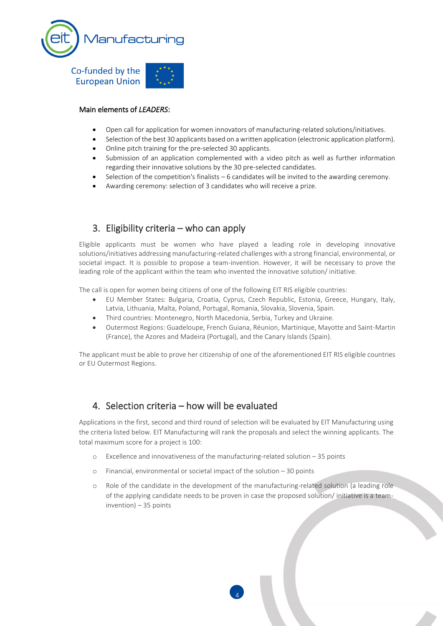

#### Main elements of *LEADERS*:

- Open call for application for women innovators of manufacturing-related solutions/initiatives.
- Selection of the best 30 applicants based on a written application (electronic application platform).
- Online pitch training for the pre-selected 30 applicants.
- Submission of an application complemented with a video pitch as well as further information regarding their innovative solutions by the 30 pre-selected candidates.
- Selection of the competition's finalists  $-6$  candidates will be invited to the awarding ceremony.
- Awarding ceremony: selection of 3 candidates who will receive a prize.

### 3. Eligibility criteria – who can apply

Eligible applicants must be women who have played a leading role in developing innovative solutions/initiatives addressing manufacturing-related challenges with a strong financial, environmental, or societal impact. It is possible to propose a team-invention. However, it will be necessary to prove the leading role of the applicant within the team who invented the innovative solution/ initiative.

The call is open for women being citizens of one of the following EIT RIS eligible countries:

- EU Member States: Bulgaria, Croatia, Cyprus, Czech Republic, Estonia, Greece, Hungary, Italy, Latvia, Lithuania, Malta, Poland, Portugal, Romania, Slovakia, Slovenia, Spain.
- Third countries: Montenegro, North Macedonia, Serbia, Turkey and Ukraine.
- Outermost Regions: Guadeloupe, French Guiana, Réunion, Martinique, Mayotte and Saint-Martin (France), the Azores and Madeira (Portugal), and the Canary Islands (Spain).

The applicant must be able to prove her citizenship of one of the aforementioned EIT RIS eligible countries or EU Outermost Regions.

#### 4. Selection criteria – how will be evaluated

Applications in the first, second and third round of selection will be evaluated by EIT Manufacturing using the criteria listed below. EIT Manufacturing will rank the proposals and select the winning applicants. The total maximum score for a project is 100:

- Excellence and innovativeness of the manufacturing-related solution  $-35$  points
- o Financial, environmental or societal impact of the solution 30 points
- o Role of the candidate in the development of the manufacturing-related solution (a leading role of the applying candidate needs to be proven in case the proposed solution/ initiative is a teaminvention) – 35 points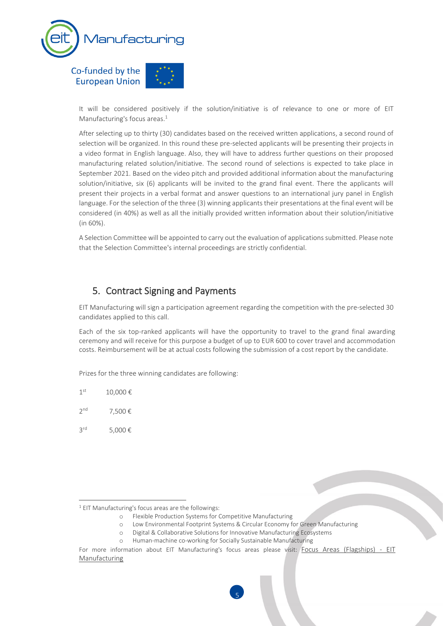

It will be considered positively if the solution/initiative is of relevance to one or more of EIT Manufacturing's focus areas. 1

After selecting up to thirty (30) candidates based on the received written applications, a second round of selection will be organized. In this round these pre-selected applicants will be presenting their projects in a video format in English language. Also, they will have to address further questions on their proposed manufacturing related solution/initiative. The second round of selections is expected to take place in September 2021. Based on the video pitch and provided additional information about the manufacturing solution/initiative, six (6) applicants will be invited to the grand final event. There the applicants will present their projects in a verbal format and answer questions to an international jury panel in English language. For the selection of the three (3) winning applicants their presentations at the final event will be considered (in 40%) as well as all the initially provided written information about their solution/initiative (in 60%).

A Selection Committee will be appointed to carry out the evaluation of applications submitted. Please note that the Selection Committee's internal proceedings are strictly confidential.

#### 5. Contract Signing and Payments

EIT Manufacturing will sign a participation agreement regarding the competition with the pre-selected 30 candidates applied to this call.

Each of the six top-ranked applicants will have the opportunity to travel to the grand final awarding ceremony and will receive for this purpose a budget of up to EUR 600 to cover travel and accommodation costs. Reimbursement will be at actual costs following the submission of a cost report by the candidate.

Prizes for the three winning candidates are following:

- $1<sup>st</sup>$ 10,000 €
- 2 nd 7,500 €
- 3 rd 5,000 €

- o Flexible Production Systems for Competitive Manufacturing
- o Low Environmental Footprint Systems & Circular Economy for Green Manufacturing
- o Digital & Collaborative Solutions for Innovative Manufacturing Ecosystems
- o Human-machine co-working for Socially Sustainable Manufacturing

<sup>1</sup> EIT Manufacturing's focus areas are the followings:

For more information about EIT Manufacturing's focus areas please visit: [Focus Areas \(Flagships\) -](https://www.eitmanufacturing.eu/what-we-do/focus-areas-flagships/) EIT [Manufacturing](https://www.eitmanufacturing.eu/what-we-do/focus-areas-flagships/)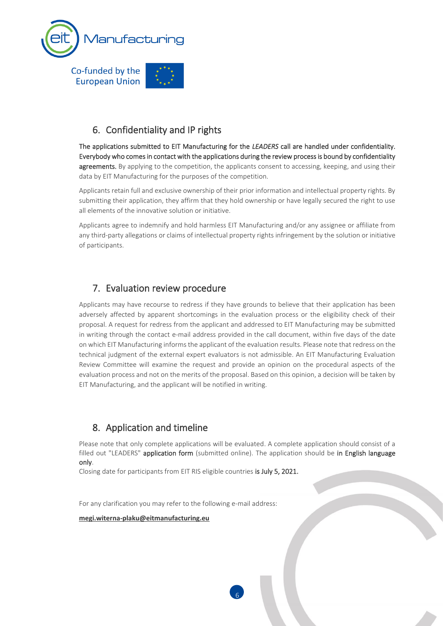

# 6. Confidentiality and IP rights

The applications submitted to EIT Manufacturing for the *LEADERS* call are handled under confidentiality. Everybody who comes in contact with the applications during the review process is bound by confidentiality agreements. By applying to the competition, the applicants consent to accessing, keeping, and using their data by EIT Manufacturing for the purposes of the competition.

Applicants retain full and exclusive ownership of their prior information and intellectual property rights. By submitting their application, they affirm that they hold ownership or have legally secured the right to use all elements of the innovative solution or initiative.

Applicants agree to indemnify and hold harmless EIT Manufacturing and/or any assignee or affiliate from any third-party allegations or claims of intellectual property rights infringement by the solution or initiative of participants.

# 7. Evaluation review procedure

Applicants may have recourse to redress if they have grounds to believe that their application has been adversely affected by apparent shortcomings in the evaluation process or the eligibility check of their proposal. A request for redress from the applicant and addressed to EIT Manufacturing may be submitted in writing through the contact e-mail address provided in the call document, within five days of the date on which EIT Manufacturing informs the applicant of the evaluation results. Please note that redress on the technical judgment of the external expert evaluators is not admissible. An EIT Manufacturing Evaluation Review Committee will examine the request and provide an opinion on the procedural aspects of the evaluation process and not on the merits of the proposal. Based on this opinion, a decision will be taken by EIT Manufacturing, and the applicant will be notified in writing.

# 8. Application and timeline

Please note that only complete applications will be evaluated. A complete application should consist of a filled out "LEADERS" application form (submitted online). The application should be in English language only.

6

Closing date for participants from EIT RIS eligible countries is July 5, 2021.

For any clarification you may refer to the following e-mail address:

**[megi.witerna-plaku@eitmanufacturing.eu](mailto:megi.witerna-plaku@eitmanufacturing.eu)**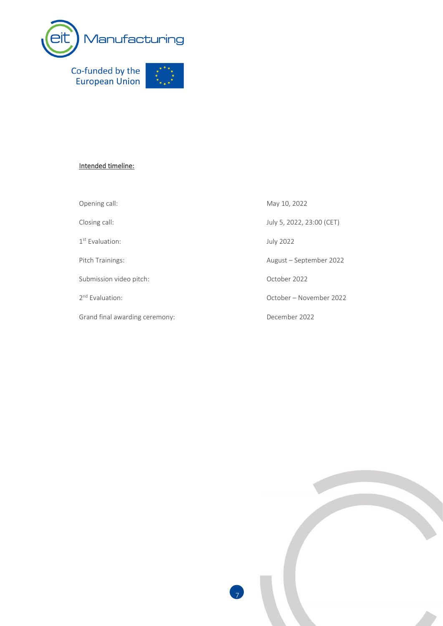

#### Intended timeline:

Opening call: May 10, 2022

1 st Evaluation: July 2022

Submission video pitch: Change 2022

2<sup>nd</sup> Evaluation:

Grand final awarding ceremony: December 2022

Closing call: July 5, 2022, 23:00 (CET) Pitch Trainings: and Trainings: August – September 2022 October – November 2022